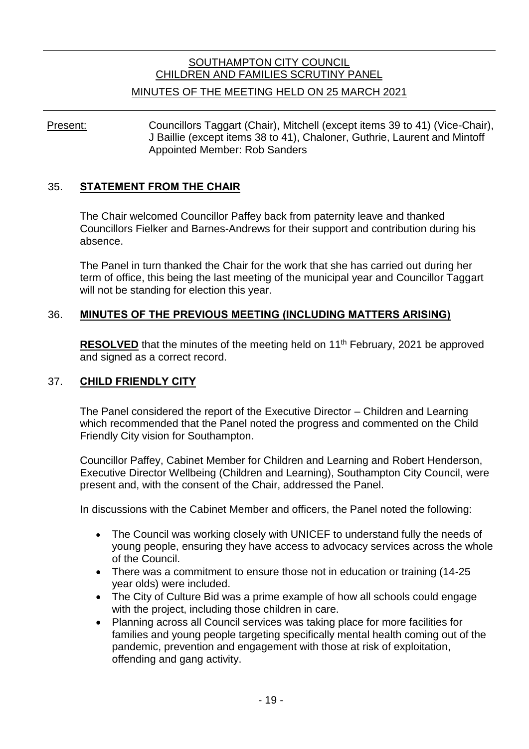# SOUTHAMPTON CITY COUNCIL CHILDREN AND FAMILIES SCRUTINY PANEL

### MINUTES OF THE MEETING HELD ON 25 MARCH 2021

Present: Councillors Taggart (Chair), Mitchell (except items 39 to 41) (Vice-Chair), J Baillie (except items 38 to 41), Chaloner, Guthrie, Laurent and Mintoff Appointed Member: Rob Sanders

#### 35. **STATEMENT FROM THE CHAIR**

The Chair welcomed Councillor Paffey back from paternity leave and thanked Councillors Fielker and Barnes-Andrews for their support and contribution during his absence.

The Panel in turn thanked the Chair for the work that she has carried out during her term of office, this being the last meeting of the municipal year and Councillor Taggart will not be standing for election this year.

### 36. **MINUTES OF THE PREVIOUS MEETING (INCLUDING MATTERS ARISING)**

**RESOLVED** that the minutes of the meeting held on 11<sup>th</sup> February, 2021 be approved and signed as a correct record.

#### 37. **CHILD FRIENDLY CITY**

The Panel considered the report of the Executive Director – Children and Learning which recommended that the Panel noted the progress and commented on the Child Friendly City vision for Southampton.

Councillor Paffey, Cabinet Member for Children and Learning and Robert Henderson, Executive Director Wellbeing (Children and Learning), Southampton City Council, were present and, with the consent of the Chair, addressed the Panel.

In discussions with the Cabinet Member and officers, the Panel noted the following:

- The Council was working closely with UNICEF to understand fully the needs of young people, ensuring they have access to advocacy services across the whole of the Council.
- There was a commitment to ensure those not in education or training (14-25) year olds) were included.
- The City of Culture Bid was a prime example of how all schools could engage with the project, including those children in care.
- Planning across all Council services was taking place for more facilities for families and young people targeting specifically mental health coming out of the pandemic, prevention and engagement with those at risk of exploitation, offending and gang activity.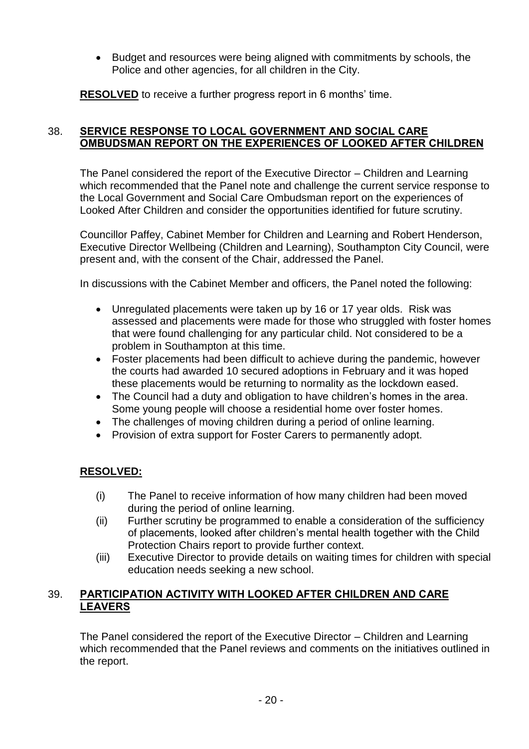Budget and resources were being aligned with commitments by schools, the Police and other agencies, for all children in the City.

**RESOLVED** to receive a further progress report in 6 months' time.

## 38. **SERVICE RESPONSE TO LOCAL GOVERNMENT AND SOCIAL CARE OMBUDSMAN REPORT ON THE EXPERIENCES OF LOOKED AFTER CHILDREN**

The Panel considered the report of the Executive Director – Children and Learning which recommended that the Panel note and challenge the current service response to the Local Government and Social Care Ombudsman report on the experiences of Looked After Children and consider the opportunities identified for future scrutiny.

Councillor Paffey, Cabinet Member for Children and Learning and Robert Henderson, Executive Director Wellbeing (Children and Learning), Southampton City Council, were present and, with the consent of the Chair, addressed the Panel.

In discussions with the Cabinet Member and officers, the Panel noted the following:

- Unregulated placements were taken up by 16 or 17 year olds. Risk was assessed and placements were made for those who struggled with foster homes that were found challenging for any particular child. Not considered to be a problem in Southampton at this time.
- Foster placements had been difficult to achieve during the pandemic, however the courts had awarded 10 secured adoptions in February and it was hoped these placements would be returning to normality as the lockdown eased.
- The Council had a duty and obligation to have children's homes in the area. Some young people will choose a residential home over foster homes.
- The challenges of moving children during a period of online learning.
- Provision of extra support for Foster Carers to permanently adopt.

# **RESOLVED:**

- (i) The Panel to receive information of how many children had been moved during the period of online learning.
- (ii) Further scrutiny be programmed to enable a consideration of the sufficiency of placements, looked after children's mental health together with the Child Protection Chairs report to provide further context.
- (iii) Executive Director to provide details on waiting times for children with special education needs seeking a new school.

### 39. **PARTICIPATION ACTIVITY WITH LOOKED AFTER CHILDREN AND CARE LEAVERS**

The Panel considered the report of the Executive Director – Children and Learning which recommended that the Panel reviews and comments on the initiatives outlined in the report.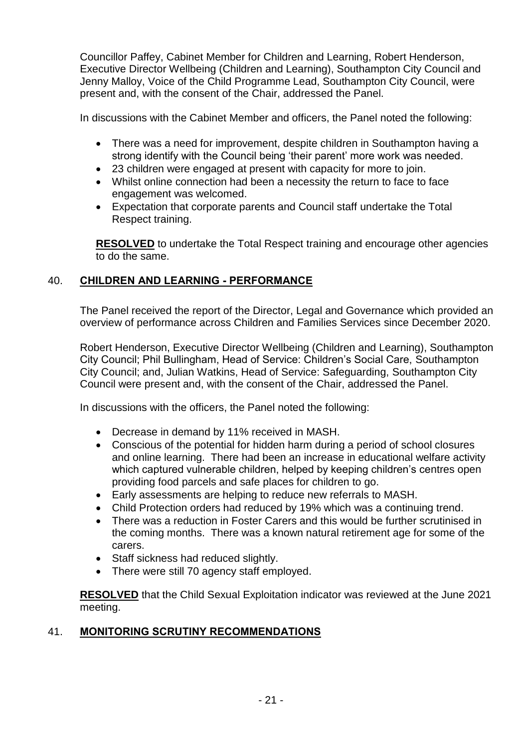Councillor Paffey, Cabinet Member for Children and Learning, Robert Henderson, Executive Director Wellbeing (Children and Learning), Southampton City Council and Jenny Malloy, Voice of the Child Programme Lead, Southampton City Council, were present and, with the consent of the Chair, addressed the Panel.

In discussions with the Cabinet Member and officers, the Panel noted the following:

- There was a need for improvement, despite children in Southampton having a strong identify with the Council being 'their parent' more work was needed.
- 23 children were engaged at present with capacity for more to join.
- Whilst online connection had been a necessity the return to face to face engagement was welcomed.
- Expectation that corporate parents and Council staff undertake the Total Respect training.

**RESOLVED** to undertake the Total Respect training and encourage other agencies to do the same.

### 40. **CHILDREN AND LEARNING - PERFORMANCE**

The Panel received the report of the Director, Legal and Governance which provided an overview of performance across Children and Families Services since December 2020.

Robert Henderson, Executive Director Wellbeing (Children and Learning), Southampton City Council; Phil Bullingham, Head of Service: Children's Social Care, Southampton City Council; and, Julian Watkins, Head of Service: Safeguarding, Southampton City Council were present and, with the consent of the Chair, addressed the Panel.

In discussions with the officers, the Panel noted the following:

- Decrease in demand by 11% received in MASH.
- Conscious of the potential for hidden harm during a period of school closures and online learning. There had been an increase in educational welfare activity which captured vulnerable children, helped by keeping children's centres open providing food parcels and safe places for children to go.
- Early assessments are helping to reduce new referrals to MASH.
- Child Protection orders had reduced by 19% which was a continuing trend.
- There was a reduction in Foster Carers and this would be further scrutinised in the coming months. There was a known natural retirement age for some of the carers.
- Staff sickness had reduced slightly.
- There were still 70 agency staff employed.

**RESOLVED** that the Child Sexual Exploitation indicator was reviewed at the June 2021 meeting.

### 41. **MONITORING SCRUTINY RECOMMENDATIONS**